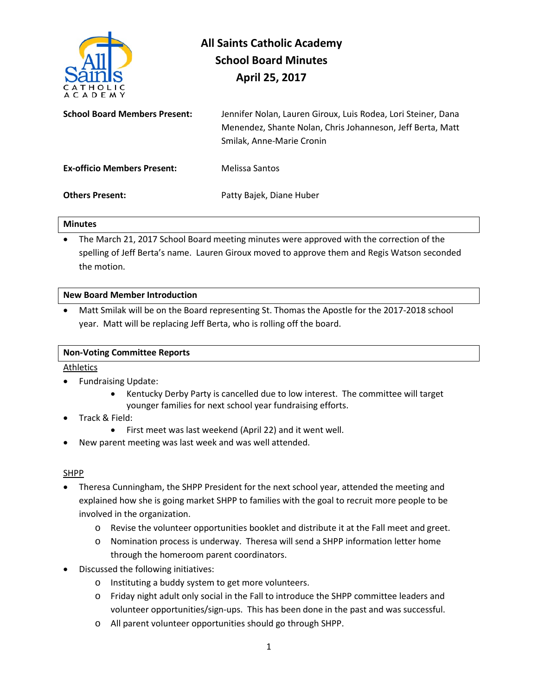

# **All Saints Catholic Academy School Board Minutes April 25, 2017**

| <b>School Board Members Present:</b> | Jennifer Nolan, Lauren Giroux, Luis Rodea, Lori Steiner, Dana |
|--------------------------------------|---------------------------------------------------------------|
|                                      | Menendez, Shante Nolan, Chris Johanneson, Jeff Berta, Matt    |
|                                      | Smilak, Anne-Marie Cronin                                     |
|                                      |                                                               |

**Others Present:** Patty Bajek, Diane Huber

**Ex-officio Members Present:** Melissa Santos

## **Minutes**

• The March 21, 2017 School Board meeting minutes were approved with the correction of the spelling of Jeff Berta's name. Lauren Giroux moved to approve them and Regis Watson seconded the motion.

#### **New Board Member Introduction**

• Matt Smilak will be on the Board representing St. Thomas the Apostle for the 2017-2018 school year. Matt will be replacing Jeff Berta, who is rolling off the board.

## **Non-Voting Committee Reports**

### **Athletics**

- Fundraising Update:
	- Kentucky Derby Party is cancelled due to low interest. The committee will target younger families for next school year fundraising efforts.
- Track & Field:
	- First meet was last weekend (April 22) and it went well.
- New parent meeting was last week and was well attended.

#### SHPP

- Theresa Cunningham, the SHPP President for the next school year, attended the meeting and explained how she is going market SHPP to families with the goal to recruit more people to be involved in the organization.
	- o Revise the volunteer opportunities booklet and distribute it at the Fall meet and greet.
	- o Nomination process is underway. Theresa will send a SHPP information letter home through the homeroom parent coordinators.
- Discussed the following initiatives:
	- o Instituting a buddy system to get more volunteers.
	- o Friday night adult only social in the Fall to introduce the SHPP committee leaders and volunteer opportunities/sign-ups. This has been done in the past and was successful.
	- o All parent volunteer opportunities should go through SHPP.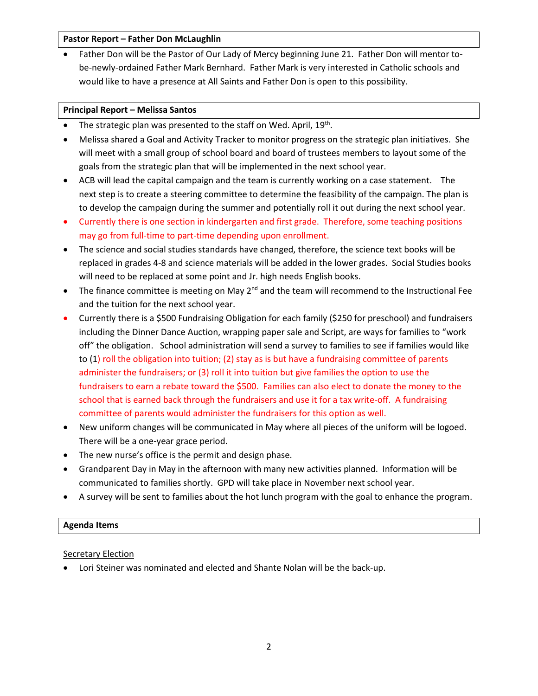#### **Pastor Report – Father Don McLaughlin**

• Father Don will be the Pastor of Our Lady of Mercy beginning June 21. Father Don will mentor tobe-newly-ordained Father Mark Bernhard. Father Mark is very interested in Catholic schools and would like to have a presence at All Saints and Father Don is open to this possibility.

#### **Principal Report – Melissa Santos**

- The strategic plan was presented to the staff on Wed. April,  $19<sup>th</sup>$ .
- Melissa shared a Goal and Activity Tracker to monitor progress on the strategic plan initiatives. She will meet with a small group of school board and board of trustees members to layout some of the goals from the strategic plan that will be implemented in the next school year.
- ACB will lead the capital campaign and the team is currently working on a case statement. The next step is to create a steering committee to determine the feasibility of the campaign. The plan is to develop the campaign during the summer and potentially roll it out during the next school year.
- Currently there is one section in kindergarten and first grade. Therefore, some teaching positions may go from full-time to part-time depending upon enrollment.
- The science and social studies standards have changed, therefore, the science text books will be replaced in grades 4-8 and science materials will be added in the lower grades. Social Studies books will need to be replaced at some point and Jr. high needs English books.
- The finance committee is meeting on May  $2^{nd}$  and the team will recommend to the Instructional Fee and the tuition for the next school year.
- Currently there is a \$500 Fundraising Obligation for each family (\$250 for preschool) and fundraisers including the Dinner Dance Auction, wrapping paper sale and Script, are ways for families to "work off" the obligation. School administration will send a survey to families to see if families would like to (1) roll the obligation into tuition; (2) stay as is but have a fundraising committee of parents administer the fundraisers; or (3) roll it into tuition but give families the option to use the fundraisers to earn a rebate toward the \$500. Families can also elect to donate the money to the school that is earned back through the fundraisers and use it for a tax write-off. A fundraising committee of parents would administer the fundraisers for this option as well.
- New uniform changes will be communicated in May where all pieces of the uniform will be logoed. There will be a one-year grace period.
- The new nurse's office is the permit and design phase.
- Grandparent Day in May in the afternoon with many new activities planned. Information will be communicated to families shortly. GPD will take place in November next school year.
- A survey will be sent to families about the hot lunch program with the goal to enhance the program.

#### **Agenda Items**

#### Secretary Election

• Lori Steiner was nominated and elected and Shante Nolan will be the back-up.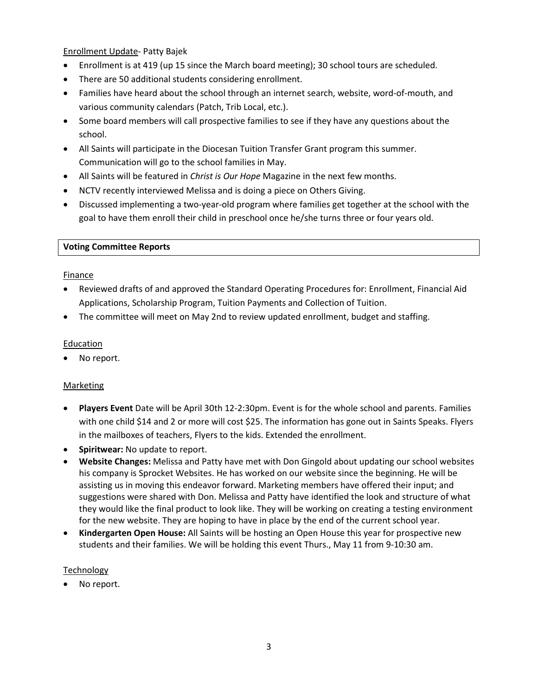Enrollment Update- Patty Bajek

- Enrollment is at 419 (up 15 since the March board meeting); 30 school tours are scheduled.
- There are 50 additional students considering enrollment.
- Families have heard about the school through an internet search, website, word-of-mouth, and various community calendars (Patch, Trib Local, etc.).
- Some board members will call prospective families to see if they have any questions about the school.
- All Saints will participate in the Diocesan Tuition Transfer Grant program this summer. Communication will go to the school families in May.
- All Saints will be featured in *Christ is Our Hope* Magazine in the next few months.
- NCTV recently interviewed Melissa and is doing a piece on Others Giving.
- Discussed implementing a two-year-old program where families get together at the school with the goal to have them enroll their child in preschool once he/she turns three or four years old.

#### **Voting Committee Reports**

#### **Finance**

- Reviewed drafts of and approved the Standard Operating Procedures for: Enrollment, Financial Aid Applications, Scholarship Program, Tuition Payments and Collection of Tuition.
- The committee will meet on May 2nd to review updated enrollment, budget and staffing.

#### Education

No report.

#### Marketing

- **Players Event** Date will be April 30th 12-2:30pm. Event is for the whole school and parents. Families with one child \$14 and 2 or more will cost \$25. The information has gone out in Saints Speaks. Flyers in the mailboxes of teachers, Flyers to the kids. Extended the enrollment.
- **Spiritwear:** No update to report.
- **Website Changes:** Melissa and Patty have met with Don Gingold about updating our school websites his company is Sprocket Websites. He has worked on our website since the beginning. He will be assisting us in moving this endeavor forward. Marketing members have offered their input; and suggestions were shared with Don. Melissa and Patty have identified the look and structure of what they would like the final product to look like. They will be working on creating a testing environment for the new website. They are hoping to have in place by the end of the current school year.
- **Kindergarten Open House:** All Saints will be hosting an Open House this year for prospective new students and their families. We will be holding this event Thurs., May 11 from 9-10:30 am.

#### **Technology**

No report.